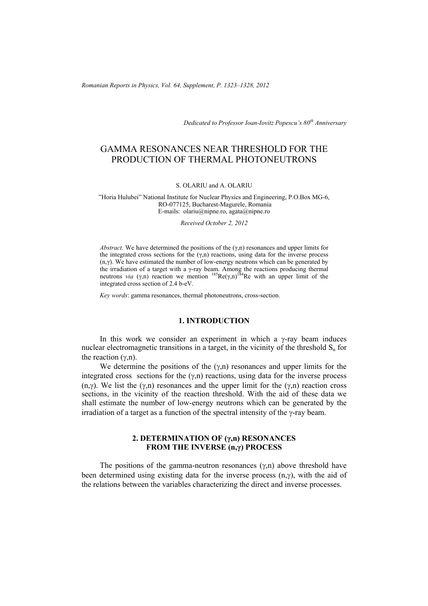*Romanian Reports in Physics, Vol. 64, Supplement, P. 1323–1328, 2012*

*Dedicated to Professor Ioan-Iovitz Popescu's 80th Anniversary*

# GAMMA RESONANCES NEAR THRESHOLD FOR THE PRODUCTION OF THERMAL PHOTONEUTRONS

#### S. OLARIU and A. OLARIU

"Horia Hulubei" National Institute for Nuclear Physics and Engineering, P.O.Box MG-6, RO-077125, Bucharest-Magurele, Romania E-mails: olariu@nipne.ro, agata@nipne.ro

*Received October 2, 2012* 

*Abstract.* We have determined the positions of the  $(\gamma, n)$  resonances and upper limits for the integrated cross sections for the  $(\gamma,n)$  reactions, using data for the inverse process (n,γ). We have estimated the number of low-energy neutrons which can be generated by the irradiation of a target with a γ-ray beam. Among the reactions producing thermal neutrons *via* (γ,n) reaction we mention <sup>185</sup>Re(γ,n)<sup>184</sup>Re with an upper limit of the integrated cross section of 2.4 b-eV.

*Key words*: gamma resonances, thermal photoneutrons, cross-section.

### **1. INTRODUCTION**

In this work we consider an experiment in which a  $\gamma$ -ray beam induces nuclear electromagnetic transitions in a target, in the vicinity of the threshold  $S_n$  for the reaction  $(γ, n)$ .

We determine the positions of the  $(\gamma,n)$  resonances and upper limits for the integrated cross sections for the  $(\gamma,n)$  reactions, using data for the inverse process (n,γ). We list the  $(\gamma,n)$  resonances and the upper limit for the  $(\gamma,n)$  reaction cross sections, in the vicinity of the reaction threshold. With the aid of these data we shall estimate the number of low-energy neutrons which can be generated by the irradiation of a target as a function of the spectral intensity of the γ-ray beam.

### **2. DETERMINATION OF (γ,n) RESONANCES FROM THE INVERSE (n,γ) PROCESS**

The positions of the gamma-neutron resonances  $(\gamma,n)$  above threshold have been determined using existing data for the inverse process  $(n, \gamma)$ , with the aid of the relations between the variables characterizing the direct and inverse processes.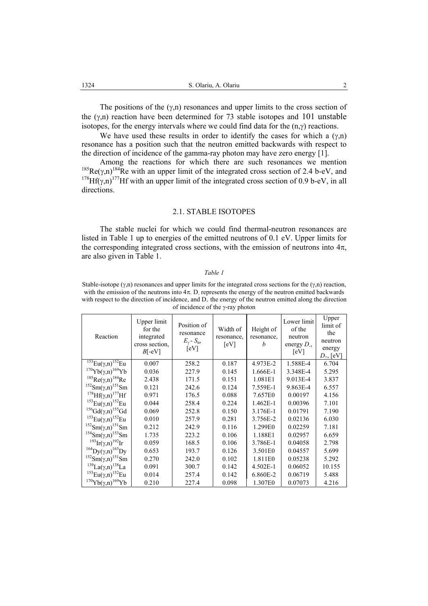The positions of the  $(\gamma, n)$  resonances and upper limits to the cross section of the  $(y,n)$  reaction have been determined for 73 stable isotopes and 101 unstable isotopes, for the energy intervals where we could find data for the  $(n, \gamma)$  reactions.

We have used these results in order to identify the cases for which a  $(\gamma,n)$ resonance has a position such that the neutron emitted backwards with respect to the direction of incidence of the gamma-ray photon may have zero energy [1].

Among the reactions for which there are such resonances we mention <sup>185</sup>Re( $\gamma$ ,n)<sup>184</sup>Re with an upper limit of the integrated cross section of 2.4 b-eV, and <sup>178</sup>Hf( $\gamma$ ,n)<sup>177</sup>Hf with an upper limit of the integrated cross section of 0.9 b-eV, in all directions.

#### 2.1. STABLE ISOTOPES

The stable nuclei for which we could find thermal-neutron resonances are listed in Table 1 up to energies of the emitted neutrons of 0.1 eV. Upper limits for the corresponding integrated cross sections, with the emission of neutrons into  $4\pi$ , are also given in Table 1.

#### *Table 1*

Stable-isotope  $(\gamma, n)$  resonances and upper limits for the integrated cross sections for the  $(\gamma, n)$  reaction, with the emission of the neutrons into  $4\pi$ . D<sub>r</sub> represents the energy of the neutron emitted backwards with respect to the direction of incidence, and  $D_{+}$  the energy of the neutron emitted along the direction of incidence of the γ-ray photon

| Reaction                                          | Upper limit<br>for the<br>integrated<br>cross section,<br>$B[-eV]$ | Position of<br>resonance<br>$E_{\gamma}$ - $S_{\rm n}$ ,<br>[eV] | Width of<br>resonance,<br>[eV] | Height of<br>resonance,<br>h | Lower limit<br>of the<br>neutron<br>energy $D_{\cdot}$ ,<br>[eV] | Upper<br>limit of<br>the<br>neutron<br>energy<br>$D_{+}$ , [eV] |
|---------------------------------------------------|--------------------------------------------------------------------|------------------------------------------------------------------|--------------------------------|------------------------------|------------------------------------------------------------------|-----------------------------------------------------------------|
| $^{153}Eu(\gamma, n)^{152}Eu$                     | 0.007                                                              | 258.2                                                            | 0.187                          | 4.973E-2                     | 1.588E-4                                                         | 6.704                                                           |
| $170Yb(\gamma,n)^{169}Yb$                         | 0.036                                                              | 227.9                                                            | 0.145                          | 1.666E-1                     | 3.348E-4                                                         | 5.295                                                           |
| $185$ Re(γ,n) $184$ Re                            | 2.438                                                              | 171.5                                                            | 0.151                          | 1.081E1                      | 9.013E-4                                                         | 3.837                                                           |
| $^{152}Sm(\gamma,n)^{151}Sm$                      | 0.121                                                              | 242.6                                                            | 0.124                          | 7.559E-1                     | 9.863E-4                                                         | 6.557                                                           |
| <sup>178</sup> $Hf(\gamma,n)$ <sup>177</sup> $Hf$ | 0.971                                                              | 176.5                                                            | 0.088                          | 7.657E0                      | 0.00197                                                          | 4.156                                                           |
| <sup>153</sup> Eu(γ,n) <sup>152</sup> Eu          | 0.044                                                              | 258.4                                                            | 0.224                          | 1.462E-1                     | 0.00396                                                          | 7.101                                                           |
| ${}^{156}Gd(\gamma,n){}^{155}Gd$                  | 0.069                                                              | 252.8                                                            | 0.150                          | 3.176E-1                     | 0.01791                                                          | 7.190                                                           |
| <sup>153</sup> Eu(γ,n) <sup>152</sup> Eu          | 0.010                                                              | 257.9                                                            | 0.281                          | 3.756E-2                     | 0.02136                                                          | 6.030                                                           |
| $^{152}Sm(\gamma,n)^{151}Sm$                      | 0.212                                                              | 242.9                                                            | 0.116                          | 1.299E0                      | 0.02259                                                          | 7.181                                                           |
| <sup>154</sup> Sm(γ,n) <sup>153</sup> Sm          | 1.735                                                              | 223.2                                                            | 0.106                          | 1.188E1                      | 0.02957                                                          | 6.659                                                           |
| <sup>193</sup> Ir( $\gamma$ ,n) <sup>192</sup> Ir | 0.059                                                              | 168.5                                                            | 0.106                          | 3.786E-1                     | 0.04058                                                          | 2.798                                                           |
| ${}^{164}Dy(\gamma,n){}^{163}Dy$                  | 0.653                                                              | 193.7                                                            | 0.126                          | 3.501E0                      | 0.04557                                                          | 5.699                                                           |
| $^{152}Sm(\gamma,n)^{151}Sm$                      | 0.270                                                              | 242.0                                                            | 0.102                          | 1.811E0                      | 0.05238                                                          | 5.292                                                           |
| <sup>139</sup> La(γ,n) <sup>138</sup> La          | 0.091                                                              | 300.7                                                            | 0.142                          | 4.502E-1                     | 0.06052                                                          | 10.155                                                          |
| <sup>153</sup> Eu(γ,n) <sup>152</sup> Eu          | 0.014                                                              | 257.4                                                            | 0.142                          | 6.860E-2                     | 0.06719                                                          | 5.488                                                           |
| ${}^{170}Yb(\gamma,n){}^{169}Yb$                  | 0.210                                                              | 227.4                                                            | 0.098                          | 1.307E0                      | 0.07073                                                          | 4.216                                                           |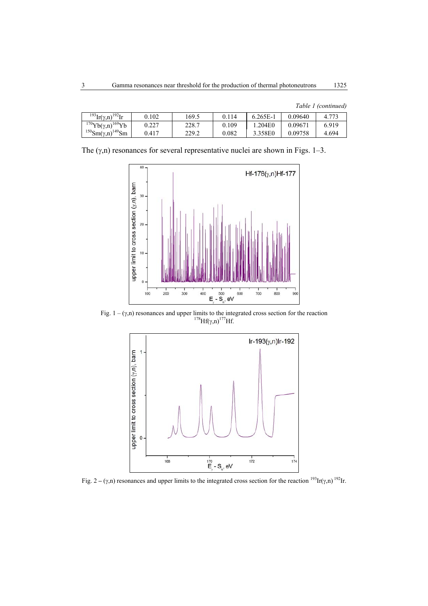|  | Table 1 (continued) |
|--|---------------------|
|  |                     |

| $^{193}$ Ir( $\gamma$ ,n) <sup>192</sup> Ir | 0.102 | 169.5 | 0 1 1 4 | $6.265E-1$ | 0.09640 | 4.773 |
|---------------------------------------------|-------|-------|---------|------------|---------|-------|
| $170Yb(\gamma,n)^{169}Yb$                   | 0.227 | 228.7 | 0.109   | 1.204E0    | 0.09671 | 6.919 |
| $^{150}Sm(\gamma,n)^{149}Sm$                | 0.417 | 229.2 | 0.082   | 3.358E0    | 0.09758 | 4.694 |

The  $(\gamma, n)$  resonances for several representative nuclei are shown in Figs. 1–3.



Fig.  $1 - (\gamma,n)$  resonances and upper limits to the integrated cross section for the reaction 178Hf( $\gamma,n$ )<sup>177</sup>Hf.



Fig. 2 – (γ,n) resonances and upper limits to the integrated cross section for the reaction <sup>193</sup>Ir(γ,n) <sup>192</sup>Ir.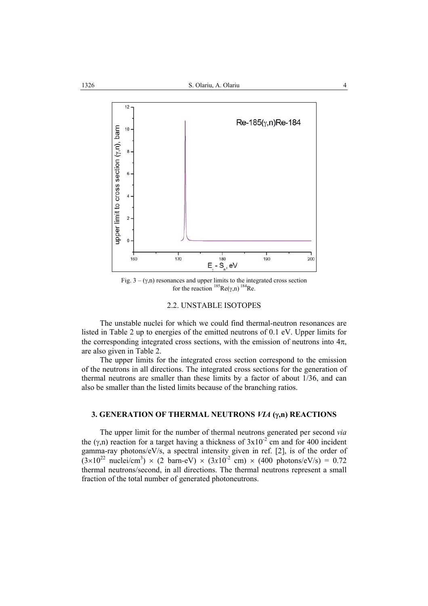

Fig.  $3 - (\gamma,n)$  resonances and upper limits to the integrated cross section for the reaction  $^{185}$ Re(γ,n)  $^{184}$ Re.

### 2.2. UNSTABLE ISOTOPES

The unstable nuclei for which we could find thermal-neutron resonances are listed in Table 2 up to energies of the emitted neutrons of 0.1 eV. Upper limits for the corresponding integrated cross sections, with the emission of neutrons into  $4\pi$ , are also given in Table 2.

The upper limits for the integrated cross section correspond to the emission of the neutrons in all directions. The integrated cross sections for the generation of thermal neutrons are smaller than these limits by a factor of about 1/36, and can also be smaller than the listed limits because of the branching ratios.

## **3. GENERATION OF THERMAL NEUTRONS** *VIA* **(**γ**,n) REACTIONS**

The upper limit for the number of thermal neutrons generated per second *via* the (γ,n) reaction for a target having a thickness of  $3x10^{-2}$  cm and for 400 incident gamma-ray photons/eV/s, a spectral intensity given in ref. [2], is of the order of  $(3 \times 10^{22} \text{ nuclei/cm}^3) \times (2 \text{ barn-eV}) \times (3 \times 10^{-2} \text{ cm}) \times (400 \text{ photons/eV/s}) = 0.72$ thermal neutrons/second, in all directions. The thermal neutrons represent a small fraction of the total number of generated photoneutrons.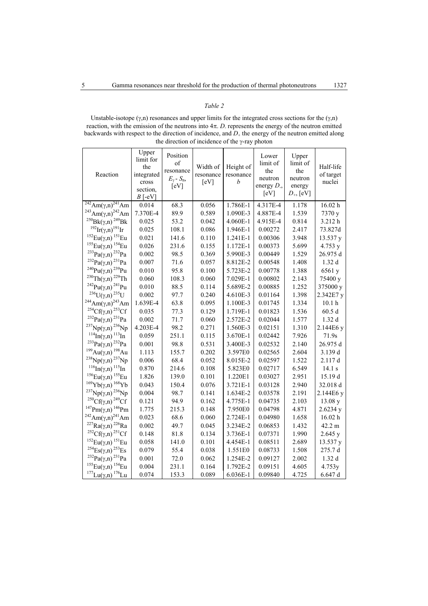### *Table 2*

Unstable-isotope ( $\gamma$ ,n) resonances and upper limits for the integrated cross sections for the ( $\gamma$ ,n) reaction, with the emission of the neutrons into  $4\pi$ . *D*<sub>-</sub> represents the energy of the neutron emitted backwards with respect to the direction of incidence, and  $D_{+}$  the energy of the neutron emitted along the direction of incidence of the γ-ray photon

| Upper<br>limit for<br>the<br>integrated<br>cross<br>section, | Position<br>of<br>resonance<br>$E_{\gamma}$ - $S_{\rm n}$ ,<br>[eV]                                                                                                                                                            | Width of<br>resonance<br>[eV]                                                                                                                                                                                                   | Height of<br>resonance<br>b                                                                                                                                                                                                            | Lower<br>limit of<br>the<br>neutron<br>energy $D_$ ,<br>[eV]                                                                                                                                                                                                                | Upper<br>limit of<br>the<br>neutron<br>energy<br>$D_{+}$ , [eV]                                                                                                                                                                                  | Half-life<br>of target<br>nuclei                                                                                                                                                                                                                         |
|--------------------------------------------------------------|--------------------------------------------------------------------------------------------------------------------------------------------------------------------------------------------------------------------------------|---------------------------------------------------------------------------------------------------------------------------------------------------------------------------------------------------------------------------------|----------------------------------------------------------------------------------------------------------------------------------------------------------------------------------------------------------------------------------------|-----------------------------------------------------------------------------------------------------------------------------------------------------------------------------------------------------------------------------------------------------------------------------|--------------------------------------------------------------------------------------------------------------------------------------------------------------------------------------------------------------------------------------------------|----------------------------------------------------------------------------------------------------------------------------------------------------------------------------------------------------------------------------------------------------------|
|                                                              |                                                                                                                                                                                                                                |                                                                                                                                                                                                                                 |                                                                                                                                                                                                                                        |                                                                                                                                                                                                                                                                             |                                                                                                                                                                                                                                                  | 16.02 h                                                                                                                                                                                                                                                  |
|                                                              |                                                                                                                                                                                                                                |                                                                                                                                                                                                                                 |                                                                                                                                                                                                                                        |                                                                                                                                                                                                                                                                             |                                                                                                                                                                                                                                                  | 7370 y                                                                                                                                                                                                                                                   |
| 0.025                                                        |                                                                                                                                                                                                                                |                                                                                                                                                                                                                                 | 4.060E-1                                                                                                                                                                                                                               | 4.915E-4                                                                                                                                                                                                                                                                    |                                                                                                                                                                                                                                                  | 3.212h                                                                                                                                                                                                                                                   |
| 0.025                                                        | 108.1                                                                                                                                                                                                                          | 0.086                                                                                                                                                                                                                           | 1.946E-1                                                                                                                                                                                                                               | 0.00272                                                                                                                                                                                                                                                                     | 2.417                                                                                                                                                                                                                                            | 73.827d                                                                                                                                                                                                                                                  |
| 0.021                                                        |                                                                                                                                                                                                                                |                                                                                                                                                                                                                                 | 1.241E-1                                                                                                                                                                                                                               | 0.00306                                                                                                                                                                                                                                                                     | 3.948                                                                                                                                                                                                                                            | 13.537 y                                                                                                                                                                                                                                                 |
| 0.026                                                        |                                                                                                                                                                                                                                | 0.155                                                                                                                                                                                                                           | 1.172E-1                                                                                                                                                                                                                               | 0.00373                                                                                                                                                                                                                                                                     |                                                                                                                                                                                                                                                  | 4.753 y                                                                                                                                                                                                                                                  |
| 0.002                                                        | 98.5                                                                                                                                                                                                                           |                                                                                                                                                                                                                                 | 5.990E-3                                                                                                                                                                                                                               | 0.00449                                                                                                                                                                                                                                                                     |                                                                                                                                                                                                                                                  | 26.975 d                                                                                                                                                                                                                                                 |
| 0.007                                                        | 71.6                                                                                                                                                                                                                           | 0.057                                                                                                                                                                                                                           | 8.812E-2                                                                                                                                                                                                                               | 0.00548                                                                                                                                                                                                                                                                     | 1.408                                                                                                                                                                                                                                            | 1.32d                                                                                                                                                                                                                                                    |
|                                                              |                                                                                                                                                                                                                                |                                                                                                                                                                                                                                 |                                                                                                                                                                                                                                        |                                                                                                                                                                                                                                                                             |                                                                                                                                                                                                                                                  | 6561 y                                                                                                                                                                                                                                                   |
|                                                              |                                                                                                                                                                                                                                |                                                                                                                                                                                                                                 |                                                                                                                                                                                                                                        |                                                                                                                                                                                                                                                                             |                                                                                                                                                                                                                                                  | 75400 y                                                                                                                                                                                                                                                  |
|                                                              |                                                                                                                                                                                                                                |                                                                                                                                                                                                                                 |                                                                                                                                                                                                                                        |                                                                                                                                                                                                                                                                             |                                                                                                                                                                                                                                                  | 375000 y                                                                                                                                                                                                                                                 |
| 0.002                                                        | 97.7                                                                                                                                                                                                                           | 0.240                                                                                                                                                                                                                           | 4.610E-3                                                                                                                                                                                                                               | 0.01164                                                                                                                                                                                                                                                                     | 1.398                                                                                                                                                                                                                                            | 2.342E7 y                                                                                                                                                                                                                                                |
| 1.639E-4                                                     | 63.8                                                                                                                                                                                                                           | 0.095                                                                                                                                                                                                                           | 1.100E-3                                                                                                                                                                                                                               | 0.01745                                                                                                                                                                                                                                                                     | 1.334                                                                                                                                                                                                                                            | 10.1 <sub>h</sub>                                                                                                                                                                                                                                        |
| 0.035                                                        | 77.3                                                                                                                                                                                                                           | 0.129                                                                                                                                                                                                                           | 1.719E-1                                                                                                                                                                                                                               |                                                                                                                                                                                                                                                                             |                                                                                                                                                                                                                                                  | 60.5d                                                                                                                                                                                                                                                    |
|                                                              |                                                                                                                                                                                                                                |                                                                                                                                                                                                                                 |                                                                                                                                                                                                                                        |                                                                                                                                                                                                                                                                             |                                                                                                                                                                                                                                                  | 1.32d                                                                                                                                                                                                                                                    |
|                                                              |                                                                                                                                                                                                                                |                                                                                                                                                                                                                                 |                                                                                                                                                                                                                                        |                                                                                                                                                                                                                                                                             |                                                                                                                                                                                                                                                  | 2.144E6 y                                                                                                                                                                                                                                                |
|                                                              |                                                                                                                                                                                                                                |                                                                                                                                                                                                                                 |                                                                                                                                                                                                                                        |                                                                                                                                                                                                                                                                             |                                                                                                                                                                                                                                                  | 71.9s                                                                                                                                                                                                                                                    |
|                                                              |                                                                                                                                                                                                                                |                                                                                                                                                                                                                                 |                                                                                                                                                                                                                                        | 0.02532                                                                                                                                                                                                                                                                     |                                                                                                                                                                                                                                                  | 26.975 d                                                                                                                                                                                                                                                 |
|                                                              |                                                                                                                                                                                                                                |                                                                                                                                                                                                                                 |                                                                                                                                                                                                                                        |                                                                                                                                                                                                                                                                             |                                                                                                                                                                                                                                                  | 3.139 d                                                                                                                                                                                                                                                  |
|                                                              |                                                                                                                                                                                                                                |                                                                                                                                                                                                                                 |                                                                                                                                                                                                                                        |                                                                                                                                                                                                                                                                             |                                                                                                                                                                                                                                                  | 2.117 d                                                                                                                                                                                                                                                  |
|                                                              |                                                                                                                                                                                                                                |                                                                                                                                                                                                                                 |                                                                                                                                                                                                                                        |                                                                                                                                                                                                                                                                             |                                                                                                                                                                                                                                                  | 14.1 s                                                                                                                                                                                                                                                   |
|                                                              |                                                                                                                                                                                                                                |                                                                                                                                                                                                                                 |                                                                                                                                                                                                                                        |                                                                                                                                                                                                                                                                             |                                                                                                                                                                                                                                                  | 15.19 d                                                                                                                                                                                                                                                  |
|                                                              |                                                                                                                                                                                                                                |                                                                                                                                                                                                                                 |                                                                                                                                                                                                                                        |                                                                                                                                                                                                                                                                             |                                                                                                                                                                                                                                                  | 32.018 d                                                                                                                                                                                                                                                 |
|                                                              |                                                                                                                                                                                                                                |                                                                                                                                                                                                                                 |                                                                                                                                                                                                                                        |                                                                                                                                                                                                                                                                             |                                                                                                                                                                                                                                                  | 2.144E6 y                                                                                                                                                                                                                                                |
|                                                              |                                                                                                                                                                                                                                |                                                                                                                                                                                                                                 |                                                                                                                                                                                                                                        |                                                                                                                                                                                                                                                                             |                                                                                                                                                                                                                                                  | 13.08 y                                                                                                                                                                                                                                                  |
|                                                              |                                                                                                                                                                                                                                |                                                                                                                                                                                                                                 |                                                                                                                                                                                                                                        | 0.04798                                                                                                                                                                                                                                                                     |                                                                                                                                                                                                                                                  | 2.6234 y                                                                                                                                                                                                                                                 |
|                                                              |                                                                                                                                                                                                                                |                                                                                                                                                                                                                                 |                                                                                                                                                                                                                                        |                                                                                                                                                                                                                                                                             |                                                                                                                                                                                                                                                  | 16.02 h                                                                                                                                                                                                                                                  |
|                                                              |                                                                                                                                                                                                                                |                                                                                                                                                                                                                                 |                                                                                                                                                                                                                                        |                                                                                                                                                                                                                                                                             |                                                                                                                                                                                                                                                  | 42.2 m                                                                                                                                                                                                                                                   |
|                                                              |                                                                                                                                                                                                                                |                                                                                                                                                                                                                                 |                                                                                                                                                                                                                                        |                                                                                                                                                                                                                                                                             |                                                                                                                                                                                                                                                  | 2.645 y                                                                                                                                                                                                                                                  |
|                                                              |                                                                                                                                                                                                                                |                                                                                                                                                                                                                                 |                                                                                                                                                                                                                                        |                                                                                                                                                                                                                                                                             |                                                                                                                                                                                                                                                  | 13.537 y                                                                                                                                                                                                                                                 |
|                                                              |                                                                                                                                                                                                                                |                                                                                                                                                                                                                                 |                                                                                                                                                                                                                                        |                                                                                                                                                                                                                                                                             |                                                                                                                                                                                                                                                  | 275.7 d                                                                                                                                                                                                                                                  |
|                                                              |                                                                                                                                                                                                                                |                                                                                                                                                                                                                                 |                                                                                                                                                                                                                                        |                                                                                                                                                                                                                                                                             |                                                                                                                                                                                                                                                  | 1.32d                                                                                                                                                                                                                                                    |
| 0.004                                                        |                                                                                                                                                                                                                                | 0.164                                                                                                                                                                                                                           | 1.792E-2                                                                                                                                                                                                                               | 0.09151                                                                                                                                                                                                                                                                     |                                                                                                                                                                                                                                                  | 4.753y                                                                                                                                                                                                                                                   |
| 0.074                                                        | 153.3                                                                                                                                                                                                                          | 0.089                                                                                                                                                                                                                           | 6.036E-1                                                                                                                                                                                                                               | 0.09840                                                                                                                                                                                                                                                                     | 4.725                                                                                                                                                                                                                                            | 6.647d                                                                                                                                                                                                                                                   |
|                                                              | $B$ [-eV]<br>0.014<br>7.370E-4<br>0.010<br>0.060<br>0.010<br>0.002<br>4.203E-4<br>0.059<br>0.001<br>1.113<br>0.006<br>0.870<br>1.826<br>0.043<br>0.004<br>0.121<br>1.775<br>0.023<br>0.002<br>0.148<br>0.058<br>0.079<br>0.001 | 68.3<br>89.9<br>53.2<br>141.6<br>231.6<br>95.8<br>108.3<br>88.5<br>71.7<br>98.2<br>251.1<br>98.8<br>155.7<br>68.4<br>214.6<br>139.0<br>150.4<br>98.7<br>94.9<br>215.3<br>68.6<br>49.7<br>81.8<br>141.0<br>55.4<br>72.0<br>231.1 | 0.056<br>0.589<br>0.042<br>0.110<br>0.369<br>0.100<br>0.060<br>0.114<br>0.060<br>0.271<br>0.115<br>0.531<br>0.202<br>0.052<br>0.108<br>0.101<br>0.076<br>0.141<br>0.162<br>0.148<br>0.060<br>0.045<br>0.134<br>0.101<br>0.038<br>0.062 | 1.786E-1<br>1.090E-3<br>5.723E-2<br>7.029E-1<br>5.689E-2<br>2.572E-2<br>1.560E-3<br>3.670E-1<br>3.400E-3<br>3.597E0<br>8.015E-2<br>5.823E0<br>1.220E1<br>3.721E-1<br>1.634E-2<br>4.775E-1<br>7.950E0<br>2.724E-1<br>3.234E-2<br>3.736E-1<br>4.454E-1<br>1.551E0<br>1.254E-2 | 4.317E-4<br>4.887E-4<br>0.00778<br>0.00802<br>0.00885<br>0.01823<br>0.02044<br>0.02151<br>0.02442<br>0.02565<br>0.02597<br>0.02717<br>0.03027<br>0.03128<br>0.03578<br>0.04735<br>0.04980<br>0.06853<br>0.07371<br>0.08511<br>0.08733<br>0.09127 | 1.178<br>1.539<br>0.814<br>5.699<br>1.529<br>1.388<br>2.143<br>1.252<br>1.536<br>1.577<br>1.310<br>7.926<br>2.140<br>2.604<br>1.522<br>6.549<br>2.951<br>2.940<br>2.191<br>2.103<br>4.871<br>1.658<br>1.432<br>1.990<br>2.689<br>1.508<br>2.002<br>4.605 |